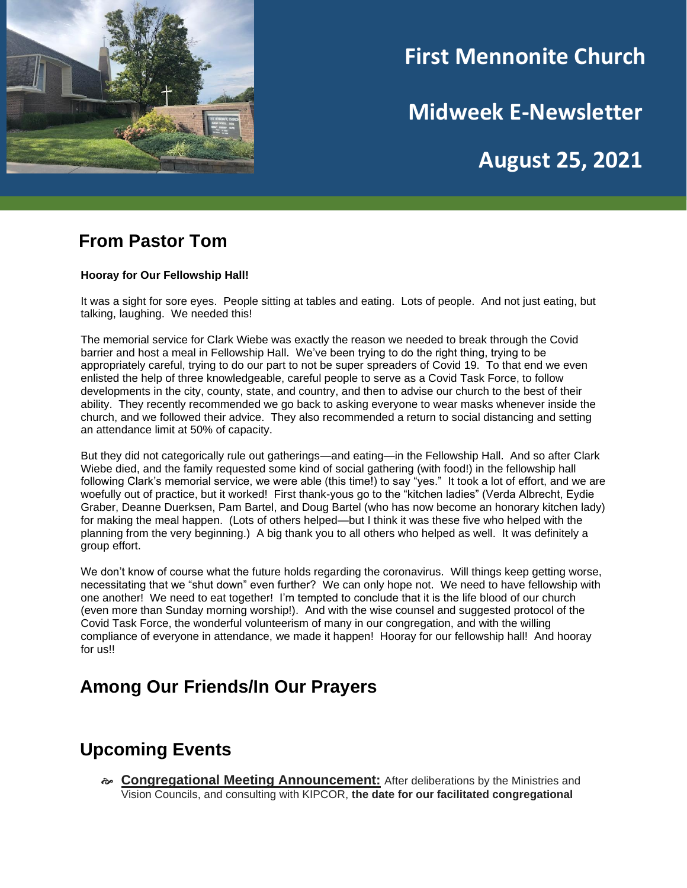

# **First Mennonite Church**

**Midweek E-Newsletter**

**August 25, 2021**

#### **From Pastor Tom**

#### **Hooray for Our Fellowship Hall!**

It was a sight for sore eyes. People sitting at tables and eating. Lots of people. And not just eating, but talking, laughing. We needed this!

The memorial service for Clark Wiebe was exactly the reason we needed to break through the Covid barrier and host a meal in Fellowship Hall. We've been trying to do the right thing, trying to be appropriately careful, trying to do our part to not be super spreaders of Covid 19. To that end we even enlisted the help of three knowledgeable, careful people to serve as a Covid Task Force, to follow developments in the city, county, state, and country, and then to advise our church to the best of their ability. They recently recommended we go back to asking everyone to wear masks whenever inside the church, and we followed their advice. They also recommended a return to social distancing and setting an attendance limit at 50% of capacity.

But they did not categorically rule out gatherings—and eating—in the Fellowship Hall. And so after Clark Wiebe died, and the family requested some kind of social gathering (with food!) in the fellowship hall following Clark's memorial service, we were able (this time!) to say "yes." It took a lot of effort, and we are woefully out of practice, but it worked! First thank-yous go to the "kitchen ladies" (Verda Albrecht, Eydie Graber, Deanne Duerksen, Pam Bartel, and Doug Bartel (who has now become an honorary kitchen lady) for making the meal happen. (Lots of others helped—but I think it was these five who helped with the planning from the very beginning.) A big thank you to all others who helped as well. It was definitely a group effort.

We don't know of course what the future holds regarding the coronavirus. Will things keep getting worse, necessitating that we "shut down" even further? We can only hope not. We need to have fellowship with one another! We need to eat together! I'm tempted to conclude that it is the life blood of our church (even more than Sunday morning worship!). And with the wise counsel and suggested protocol of the Covid Task Force, the wonderful volunteerism of many in our congregation, and with the willing compliance of everyone in attendance, we made it happen! Hooray for our fellowship hall! And hooray for us!!

### **Among Our Friends/In Our Prayers**

#### **Upcoming Events**

 **Congregational Meeting Announcement:** After deliberations by the Ministries and Vision Councils, and consulting with KIPCOR, **the date for our facilitated congregational**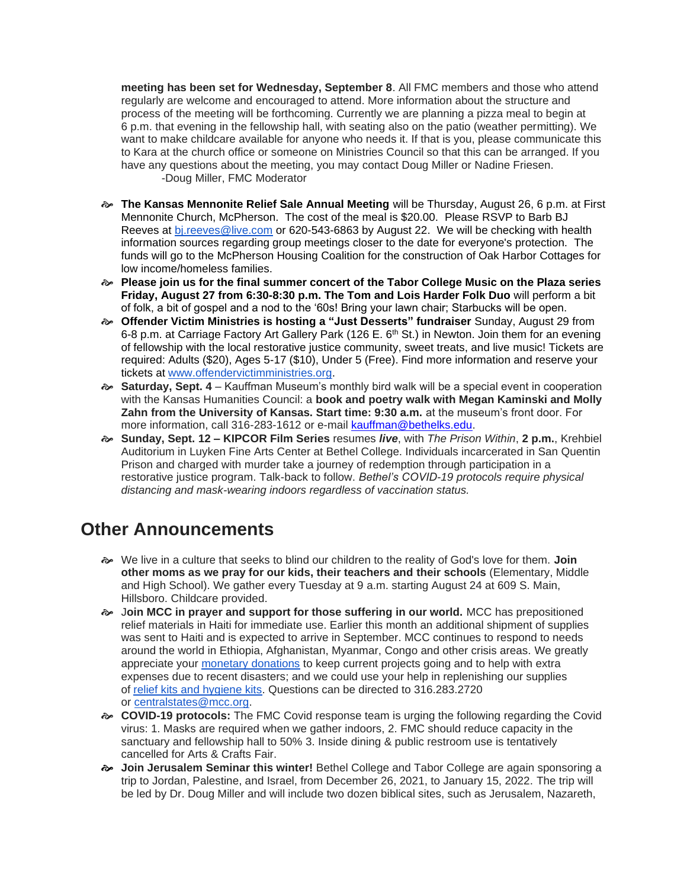**meeting has been set for Wednesday, September 8**. All FMC members and those who attend regularly are welcome and encouraged to attend. More information about the structure and process of the meeting will be forthcoming. Currently we are planning a pizza meal to begin at 6 p.m. that evening in the fellowship hall, with seating also on the patio (weather permitting). We want to make childcare available for anyone who needs it. If that is you, please communicate this to Kara at the church office or someone on Ministries Council so that this can be arranged. If you have any questions about the meeting, you may contact Doug Miller or Nadine Friesen. -Doug Miller, FMC Moderator

- **The Kansas Mennonite Relief Sale Annual Meeting** will be Thursday, August 26, 6 p.m. at First Mennonite Church, McPherson. The cost of the meal is \$20.00. Please RSVP to Barb BJ Reeves at [bj.reeves@live.com](mailto:bj.reeves@live.com) or 620-543-6863 by August 22. We will be checking with health information sources regarding group meetings closer to the date for everyone's protection. The funds will go to the McPherson Housing Coalition for the construction of Oak Harbor Cottages for low income/homeless families.
- **Please join us for the final summer concert of the Tabor College Music on the Plaza series Friday, August 27 from 6:30-8:30 p.m. The Tom and Lois Harder Folk Duo** will perform a bit of folk, a bit of gospel and a nod to the '60s! Bring your lawn chair; Starbucks will be open.
- **Offender Victim Ministries is hosting a "Just Desserts" fundraiser** Sunday, August 29 from 6-8 p.m. at Carriage Factory Art Gallery Park (126 E. 6<sup>th</sup> St.) in Newton. Join them for an evening of fellowship with the local restorative justice community, sweet treats, and live music! Tickets are required: Adults (\$20), Ages 5-17 (\$10), Under 5 (Free). Find more information and reserve your tickets at [www.offendervictimministries.org.](http://www.offendervictimministries.org/)
- **Saturday, Sept. 4** Kauffman Museum's monthly bird walk will be a special event in cooperation with the Kansas Humanities Council: a **book and poetry walk with Megan Kaminski and Molly Zahn from the University of Kansas. Start time: 9:30 a.m.** at the museum's front door. For more information, call 316-283-1612 or e-mail [kauffman@bethelks.edu.](mailto:Kauffman@bethelks.edu)
- **Sunday, Sept. 12 – KIPCOR Film Series** resumes *live*, with *The Prison Within*, **2 p.m.**, Krehbiel Auditorium in Luyken Fine Arts Center at Bethel College. Individuals incarcerated in San Quentin Prison and charged with murder take a journey of redemption through participation in a restorative justice program. Talk-back to follow. *Bethel's COVID-19 protocols require physical distancing and mask-wearing indoors regardless of vaccination status.*

### **Other Announcements**

- We live in a culture that seeks to blind our children to the reality of God's love for them. **Join other moms as we pray for our kids, their teachers and their schools** (Elementary, Middle and High School). We gather every Tuesday at 9 a.m. starting August 24 at 609 S. Main, Hillsboro. Childcare provided.
- J**oin MCC in prayer and support for those suffering in our world.** MCC has prepositioned relief materials in Haiti for immediate use. Earlier this month an additional shipment of supplies was sent to Haiti and is expected to arrive in September. MCC continues to respond to needs around the world in Ethiopia, Afghanistan, Myanmar, Congo and other crisis areas. We greatly appreciate your [monetary donations](https://can01.safelinks.protection.outlook.com/?url=https%3A%2F%2Fdonate.mcc.org%2F&data=04%7C01%7CTinaSchrag%40mcc.org%7C378b644082954e334ec408d962925a99%7C169838f761344f5b8d1ab2d131856f52%7C0%7C0%7C637649202984026077%7CUnknown%7CTWFpbGZsb3d8eyJWIjoiMC4wLjAwMDAiLCJQIjoiV2luMzIiLCJBTiI6Ik1haWwiLCJXVCI6Mn0%3D%7C1000&sdata=aPyVyQzPFXARvuqdnLIUpx1skP8CrRgi5ldXvEr48Lc%3D&reserved=0) to keep current projects going and to help with extra expenses due to recent disasters; and we could use your help in replenishing our supplies of [relief kits and hygiene kits.](https://can01.safelinks.protection.outlook.com/?url=https%3A%2F%2Fmcc.org%2Fget-involved%2Fkits&data=04%7C01%7CTinaSchrag%40mcc.org%7C378b644082954e334ec408d962925a99%7C169838f761344f5b8d1ab2d131856f52%7C0%7C0%7C637649202984026077%7CUnknown%7CTWFpbGZsb3d8eyJWIjoiMC4wLjAwMDAiLCJQIjoiV2luMzIiLCJBTiI6Ik1haWwiLCJXVCI6Mn0%3D%7C1000&sdata=CnZd6oBhAh%2BpN7uavhBoapdbFXnsQC4hl9Im4TfBXss%3D&reserved=0) Questions can be directed to 316.283.2720 or [centralstates@mcc.org.](mailto:centralstates@mcc.org)
- **COVID-19 protocols:** The FMC Covid response team is urging the following regarding the Covid virus: 1. Masks are required when we gather indoors, 2. FMC should reduce capacity in the sanctuary and fellowship hall to 50% 3. Inside dining & public restroom use is tentatively cancelled for Arts & Crafts Fair.
- **Join Jerusalem Seminar this winter!** Bethel College and Tabor College are again sponsoring a trip to Jordan, Palestine, and Israel, from December 26, 2021, to January 15, 2022. The trip will be led by Dr. Doug Miller and will include two dozen biblical sites, such as Jerusalem, Nazareth,